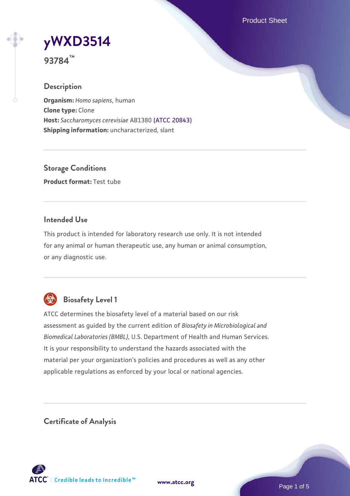Product Sheet

# **[yWXD3514](https://www.atcc.org/products/93784)**

**93784™**

# **Description**

**Organism:** *Homo sapiens*, human **Clone type:** Clone **Host:** *Saccharomyces cerevisiae* AB1380 [\(ATCC 20843\)](https://www.atcc.org/products/20843) **Shipping information:** uncharacterized, slant

**Storage Conditions Product format:** Test tube

# **Intended Use**

This product is intended for laboratory research use only. It is not intended for any animal or human therapeutic use, any human or animal consumption, or any diagnostic use.



# **Biosafety Level 1**

ATCC determines the biosafety level of a material based on our risk assessment as guided by the current edition of *Biosafety in Microbiological and Biomedical Laboratories (BMBL)*, U.S. Department of Health and Human Services. It is your responsibility to understand the hazards associated with the material per your organization's policies and procedures as well as any other applicable regulations as enforced by your local or national agencies.

**Certificate of Analysis**

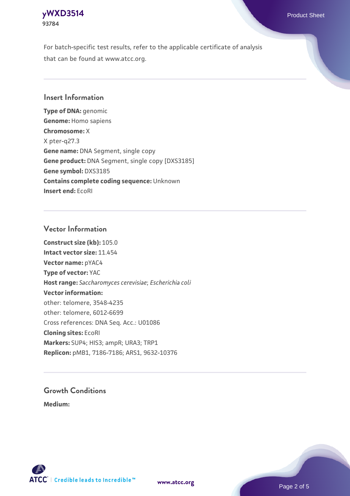# **[yWXD3514](https://www.atcc.org/products/93784)** Product Sheet **93784**

For batch-specific test results, refer to the applicable certificate of analysis that can be found at www.atcc.org.

## **Insert Information**

**Type of DNA:** genomic **Genome:** Homo sapiens **Chromosome:** X X pter-q27.3 **Gene name:** DNA Segment, single copy **Gene product:** DNA Segment, single copy [DXS3185] **Gene symbol:** DXS3185 **Contains complete coding sequence:** Unknown **Insert end:** EcoRI

## **Vector Information**

**Construct size (kb):** 105.0 **Intact vector size:** 11.454 **Vector name:** pYAC4 **Type of vector:** YAC **Host range:** *Saccharomyces cerevisiae*; *Escherichia coli* **Vector information:** other: telomere, 3548-4235 other: telomere, 6012-6699 Cross references: DNA Seq. Acc.: U01086 **Cloning sites:** EcoRI **Markers:** SUP4; HIS3; ampR; URA3; TRP1 **Replicon:** pMB1, 7186-7186; ARS1, 9632-10376

# **Growth Conditions**

**Medium:** 



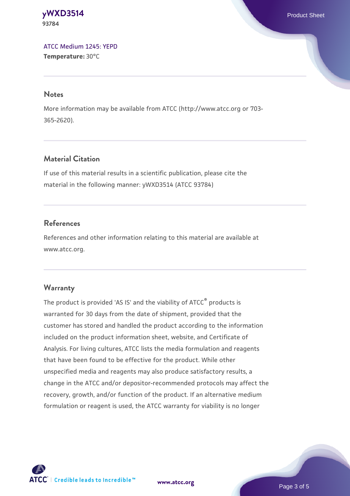#### **[yWXD3514](https://www.atcc.org/products/93784)** Product Sheet **93784**

[ATCC Medium 1245: YEPD](https://www.atcc.org/-/media/product-assets/documents/microbial-media-formulations/1/2/4/5/atcc-medium-1245.pdf?rev=705ca55d1b6f490a808a965d5c072196) **Temperature:** 30°C

#### **Notes**

More information may be available from ATCC (http://www.atcc.org or 703- 365-2620).

# **Material Citation**

If use of this material results in a scientific publication, please cite the material in the following manner: yWXD3514 (ATCC 93784)

# **References**

References and other information relating to this material are available at www.atcc.org.

# **Warranty**

The product is provided 'AS IS' and the viability of ATCC® products is warranted for 30 days from the date of shipment, provided that the customer has stored and handled the product according to the information included on the product information sheet, website, and Certificate of Analysis. For living cultures, ATCC lists the media formulation and reagents that have been found to be effective for the product. While other unspecified media and reagents may also produce satisfactory results, a change in the ATCC and/or depositor-recommended protocols may affect the recovery, growth, and/or function of the product. If an alternative medium formulation or reagent is used, the ATCC warranty for viability is no longer



**[www.atcc.org](http://www.atcc.org)**

Page 3 of 5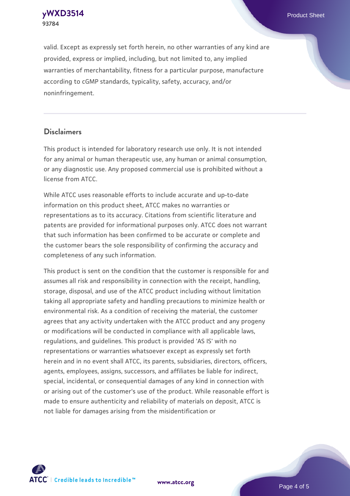**93784**

valid. Except as expressly set forth herein, no other warranties of any kind are provided, express or implied, including, but not limited to, any implied warranties of merchantability, fitness for a particular purpose, manufacture according to cGMP standards, typicality, safety, accuracy, and/or noninfringement.

#### **Disclaimers**

This product is intended for laboratory research use only. It is not intended for any animal or human therapeutic use, any human or animal consumption, or any diagnostic use. Any proposed commercial use is prohibited without a license from ATCC.

While ATCC uses reasonable efforts to include accurate and up-to-date information on this product sheet, ATCC makes no warranties or representations as to its accuracy. Citations from scientific literature and patents are provided for informational purposes only. ATCC does not warrant that such information has been confirmed to be accurate or complete and the customer bears the sole responsibility of confirming the accuracy and completeness of any such information.

This product is sent on the condition that the customer is responsible for and assumes all risk and responsibility in connection with the receipt, handling, storage, disposal, and use of the ATCC product including without limitation taking all appropriate safety and handling precautions to minimize health or environmental risk. As a condition of receiving the material, the customer agrees that any activity undertaken with the ATCC product and any progeny or modifications will be conducted in compliance with all applicable laws, regulations, and guidelines. This product is provided 'AS IS' with no representations or warranties whatsoever except as expressly set forth herein and in no event shall ATCC, its parents, subsidiaries, directors, officers, agents, employees, assigns, successors, and affiliates be liable for indirect, special, incidental, or consequential damages of any kind in connection with or arising out of the customer's use of the product. While reasonable effort is made to ensure authenticity and reliability of materials on deposit, ATCC is not liable for damages arising from the misidentification or



**[www.atcc.org](http://www.atcc.org)**

Page 4 of 5